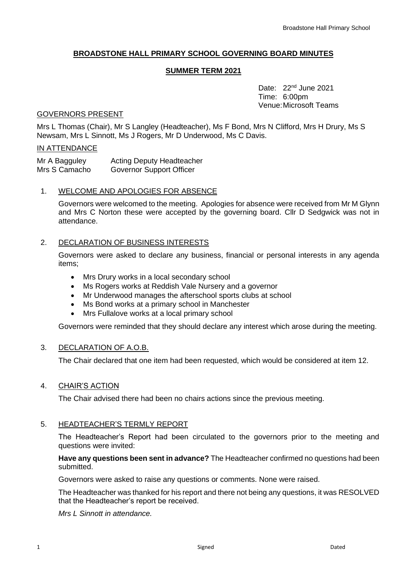# **BROADSTONE HALL PRIMARY SCHOOL GOVERNING BOARD MINUTES**

## **SUMMER TERM 2021**

Date: 22<sup>nd</sup> June 2021 Time: 6:00pm Venue:Microsoft Teams

## GOVERNORS PRESENT

Mrs L Thomas (Chair), Mr S Langley (Headteacher), Ms F Bond, Mrs N Clifford, Mrs H Drury, Ms S Newsam, Mrs L Sinnott, Ms J Rogers, Mr D Underwood, Ms C Davis.

## IN ATTENDANCE

| Mr A Bagguley | <b>Acting Deputy Headteacher</b> |
|---------------|----------------------------------|
| Mrs S Camacho | Governor Support Officer         |

## 1. WELCOME AND APOLOGIES FOR ABSENCE

Governors were welcomed to the meeting. Apologies for absence were received from Mr M Glynn and Mrs C Norton these were accepted by the governing board. Cllr D Sedgwick was not in attendance.

## 2. DECLARATION OF BUSINESS INTERESTS

Governors were asked to declare any business, financial or personal interests in any agenda items;

- Mrs Drury works in a local secondary school
- Ms Rogers works at Reddish Vale Nursery and a governor
- Mr Underwood manages the afterschool sports clubs at school
- Ms Bond works at a primary school in Manchester
- Mrs Fullalove works at a local primary school

Governors were reminded that they should declare any interest which arose during the meeting.

# 3. DECLARATION OF A.O.B.

The Chair declared that one item had been requested, which would be considered at item 12.

#### 4. CHAIR'S ACTION

The Chair advised there had been no chairs actions since the previous meeting.

# 5. HEADTEACHER'S TERMLY REPORT

The Headteacher's Report had been circulated to the governors prior to the meeting and questions were invited:

## **Have any questions been sent in advance?** The Headteacher confirmed no questions had been submitted.

Governors were asked to raise any questions or comments. None were raised.

The Headteacher was thanked for his report and there not being any questions, it was RESOLVED that the Headteacher's report be received.

*Mrs L Sinnott in attendance.*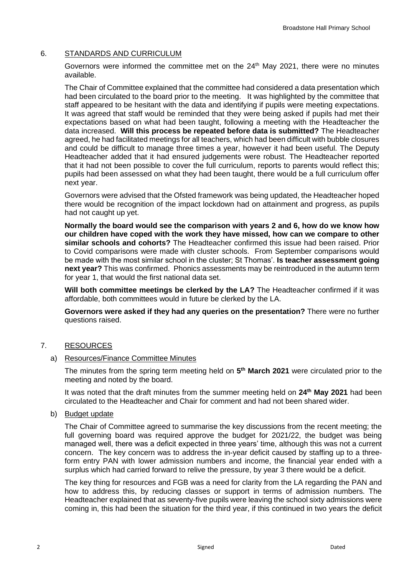# 6. STANDARDS AND CURRICULUM

Governors were informed the committee met on the  $24<sup>th</sup>$  May 2021, there were no minutes available.

The Chair of Committee explained that the committee had considered a data presentation which had been circulated to the board prior to the meeting. It was highlighted by the committee that staff appeared to be hesitant with the data and identifying if pupils were meeting expectations. It was agreed that staff would be reminded that they were being asked if pupils had met their expectations based on what had been taught, following a meeting with the Headteacher the data increased. **Will this process be repeated before data is submitted?** The Headteacher agreed, he had facilitated meetings for all teachers, which had been difficult with bubble closures and could be difficult to manage three times a year, however it had been useful. The Deputy Headteacher added that it had ensured judgements were robust. The Headteacher reported that it had not been possible to cover the full curriculum, reports to parents would reflect this; pupils had been assessed on what they had been taught, there would be a full curriculum offer next year.

Governors were advised that the Ofsted framework was being updated, the Headteacher hoped there would be recognition of the impact lockdown had on attainment and progress, as pupils had not caught up yet.

**Normally the board would see the comparison with years 2 and 6, how do we know how our children have coped with the work they have missed, how can we compare to other similar schools and cohorts?** The Headteacher confirmed this issue had been raised. Prior to Covid comparisons were made with cluster schools. From September comparisons would be made with the most similar school in the cluster; St Thomas'. **Is teacher assessment going next year?** This was confirmed. Phonics assessments may be reintroduced in the autumn term for year 1, that would the first national data set.

**Will both committee meetings be clerked by the LA?** The Headteacher confirmed if it was affordable, both committees would in future be clerked by the LA.

**Governors were asked if they had any queries on the presentation?** There were no further questions raised.

# 7. RESOURCES

# a) Resources/Finance Committee Minutes

The minutes from the spring term meeting held on **5 th March 2021** were circulated prior to the meeting and noted by the board.

It was noted that the draft minutes from the summer meeting held on **24th May 2021** had been circulated to the Headteacher and Chair for comment and had not been shared wider.

#### b) Budget update

The Chair of Committee agreed to summarise the key discussions from the recent meeting; the full governing board was required approve the budget for 2021/22, the budget was being managed well, there was a deficit expected in three years' time, although this was not a current concern. The key concern was to address the in-year deficit caused by staffing up to a threeform entry PAN with lower admission numbers and income, the financial year ended with a surplus which had carried forward to relive the pressure, by year 3 there would be a deficit.

The key thing for resources and FGB was a need for clarity from the LA regarding the PAN and how to address this, by reducing classes or support in terms of admission numbers. The Headteacher explained that as seventy-five pupils were leaving the school sixty admissions were coming in, this had been the situation for the third year, if this continued in two years the deficit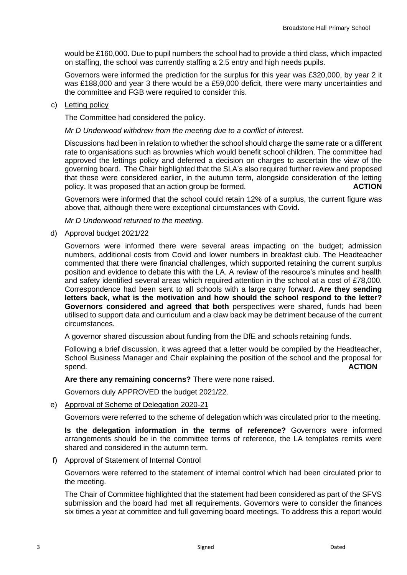would be £160,000. Due to pupil numbers the school had to provide a third class, which impacted on staffing, the school was currently staffing a 2.5 entry and high needs pupils.

Governors were informed the prediction for the surplus for this year was £320,000, by year 2 it was £188,000 and year 3 there would be a £59,000 deficit, there were many uncertainties and the committee and FGB were required to consider this.

## c) Letting policy

The Committee had considered the policy.

*Mr D Underwood withdrew from the meeting due to a conflict of interest.* 

Discussions had been in relation to whether the school should charge the same rate or a different rate to organisations such as brownies which would benefit school children. The committee had approved the lettings policy and deferred a decision on charges to ascertain the view of the governing board. The Chair highlighted that the SLA's also required further review and proposed that these were considered earlier, in the autumn term, alongside consideration of the letting policy. It was proposed that an action group be formed. **ACTION**

Governors were informed that the school could retain 12% of a surplus, the current figure was above that, although there were exceptional circumstances with Covid.

*Mr D Underwood returned to the meeting.* 

## d) Approval budget 2021/22

Governors were informed there were several areas impacting on the budget; admission numbers, additional costs from Covid and lower numbers in breakfast club. The Headteacher commented that there were financial challenges, which supported retaining the current surplus position and evidence to debate this with the LA. A review of the resource's minutes and health and safety identified several areas which required attention in the school at a cost of £78,000. Correspondence had been sent to all schools with a large carry forward. **Are they sending letters back, what is the motivation and how should the school respond to the letter? Governors considered and agreed that both** perspectives were shared, funds had been utilised to support data and curriculum and a claw back may be detriment because of the current circumstances.

A governor shared discussion about funding from the DfE and schools retaining funds.

Following a brief discussion, it was agreed that a letter would be compiled by the Headteacher, School Business Manager and Chair explaining the position of the school and the proposal for spend. **ACTION** 

#### **Are there any remaining concerns?** There were none raised.

Governors duly APPROVED the budget 2021/22.

e) Approval of Scheme of Delegation 2020-21

Governors were referred to the scheme of delegation which was circulated prior to the meeting.

**Is the delegation information in the terms of reference?** Governors were informed arrangements should be in the committee terms of reference, the LA templates remits were shared and considered in the autumn term.

f) Approval of Statement of Internal Control

Governors were referred to the statement of internal control which had been circulated prior to the meeting.

The Chair of Committee highlighted that the statement had been considered as part of the SFVS submission and the board had met all requirements. Governors were to consider the finances six times a year at committee and full governing board meetings. To address this a report would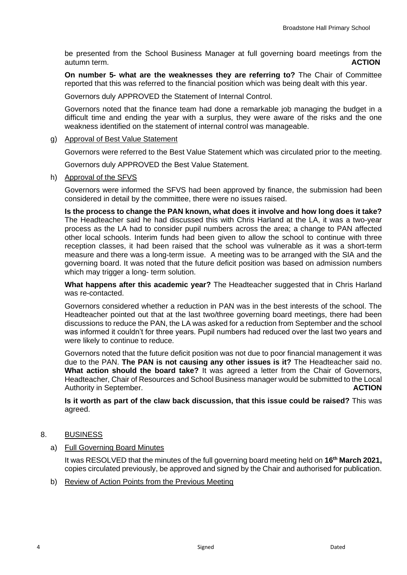be presented from the School Business Manager at full governing board meetings from the autumn term. **ACTION**

**On number 5- what are the weaknesses they are referring to?** The Chair of Committee reported that this was referred to the financial position which was being dealt with this year.

Governors duly APPROVED the Statement of Internal Control.

Governors noted that the finance team had done a remarkable job managing the budget in a difficult time and ending the year with a surplus, they were aware of the risks and the one weakness identified on the statement of internal control was manageable.

## g) Approval of Best Value Statement

Governors were referred to the Best Value Statement which was circulated prior to the meeting.

Governors duly APPROVED the Best Value Statement.

h) Approval of the SFVS

Governors were informed the SFVS had been approved by finance, the submission had been considered in detail by the committee, there were no issues raised.

**Is the process to change the PAN known, what does it involve and how long does it take?**  The Headteacher said he had discussed this with Chris Harland at the LA, it was a two-year process as the LA had to consider pupil numbers across the area; a change to PAN affected other local schools. Interim funds had been given to allow the school to continue with three reception classes, it had been raised that the school was vulnerable as it was a short-term measure and there was a long-term issue. A meeting was to be arranged with the SIA and the governing board. It was noted that the future deficit position was based on admission numbers which may trigger a long- term solution.

**What happens after this academic year?** The Headteacher suggested that in Chris Harland was re-contacted.

Governors considered whether a reduction in PAN was in the best interests of the school. The Headteacher pointed out that at the last two/three governing board meetings, there had been discussions to reduce the PAN, the LA was asked for a reduction from September and the school was informed it couldn't for three years. Pupil numbers had reduced over the last two years and were likely to continue to reduce.

Governors noted that the future deficit position was not due to poor financial management it was due to the PAN. **The PAN is not causing any other issues is it?** The Headteacher said no. **What action should the board take?** It was agreed a letter from the Chair of Governors, Headteacher, Chair of Resources and School Business manager would be submitted to the Local Authority in September. **ACTION** 

**Is it worth as part of the claw back discussion, that this issue could be raised?** This was agreed.

- 8. BUSINESS
	- a) Full Governing Board Minutes

It was RESOLVED that the minutes of the full governing board meeting held on **16th March 2021,** copies circulated previously, be approved and signed by the Chair and authorised for publication.

b) Review of Action Points from the Previous Meeting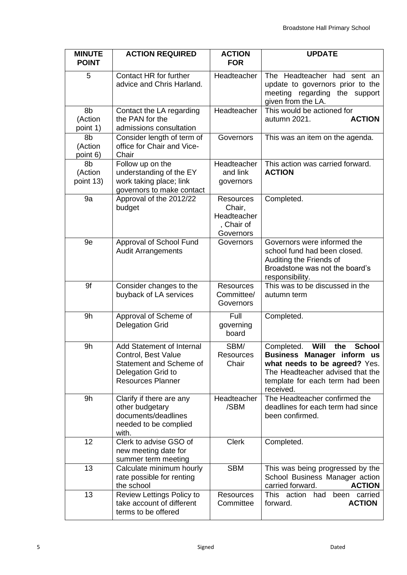| <b>MINUTE</b><br><b>POINT</b> | <b>ACTION REQUIRED</b>                                                                                                        | <b>ACTION</b><br><b>FOR</b>                                          | <b>UPDATE</b>                                                                                                                                                                                 |  |
|-------------------------------|-------------------------------------------------------------------------------------------------------------------------------|----------------------------------------------------------------------|-----------------------------------------------------------------------------------------------------------------------------------------------------------------------------------------------|--|
| 5                             | Contact HR for further<br>advice and Chris Harland.                                                                           | Headteacher                                                          | The Headteacher had sent an<br>update to governors prior to the<br>meeting regarding the support<br>given from the LA.                                                                        |  |
| 8b<br>(Action<br>point 1)     | Contact the LA regarding<br>the PAN for the<br>admissions consultation                                                        | Headteacher                                                          | This would be actioned for<br>autumn 2021.<br><b>ACTION</b>                                                                                                                                   |  |
| 8b<br>(Action<br>point 6)     | Consider length of term of<br>office for Chair and Vice-<br>Chair                                                             | Governors                                                            | This was an item on the agenda.                                                                                                                                                               |  |
| 8b<br>(Action<br>point 13)    | Follow up on the<br>understanding of the EY<br>work taking place; link<br>governors to make contact                           | Headteacher<br>and link<br>governors                                 | This action was carried forward.<br><b>ACTION</b>                                                                                                                                             |  |
| 9a                            | Approval of the 2012/22<br>budget                                                                                             | <b>Resources</b><br>Chair,<br>Headteacher<br>, Chair of<br>Governors | Completed.                                                                                                                                                                                    |  |
| 9e                            | Approval of School Fund<br><b>Audit Arrangements</b>                                                                          | Governors                                                            | Governors were informed the<br>school fund had been closed.<br>Auditing the Friends of<br>Broadstone was not the board's<br>responsibility.                                                   |  |
| 9f                            | Consider changes to the<br>buyback of LA services                                                                             | <b>Resources</b><br>Committee/<br>Governors                          | This was to be discussed in the<br>autumn term                                                                                                                                                |  |
| 9h                            | Approval of Scheme of<br><b>Delegation Grid</b>                                                                               | Full<br>governing<br>board                                           | Completed.                                                                                                                                                                                    |  |
| 9h                            | Add Statement of Internal<br>Control, Best Value<br>Statement and Scheme of<br>Delegation Grid to<br><b>Resources Planner</b> | SBM/<br>Resources<br>Chair                                           | Will<br><b>School</b><br>Completed.<br>the<br>Business Manager inform us<br>what needs to be agreed? Yes.<br>The Headteacher advised that the<br>template for each term had been<br>received. |  |
| 9h                            | Clarify if there are any<br>other budgetary<br>documents/deadlines<br>needed to be complied<br>with.                          | Headteacher<br>/SBM                                                  | The Headteacher confirmed the<br>deadlines for each term had since<br>been confirmed.                                                                                                         |  |
| 12                            | Clerk to advise GSO of<br>new meeting date for<br>summer term meeting                                                         | <b>Clerk</b>                                                         | Completed.                                                                                                                                                                                    |  |
| 13                            | Calculate minimum hourly<br>rate possible for renting<br>the school                                                           | <b>SBM</b>                                                           | This was being progressed by the<br>School Business Manager action<br>carried forward.<br><b>ACTION</b>                                                                                       |  |
| 13                            | Review Lettings Policy to<br>take account of different<br>terms to be offered                                                 | <b>Resources</b><br>Committee                                        | This action<br>had<br>been<br>carried<br><b>ACTION</b><br>forward.                                                                                                                            |  |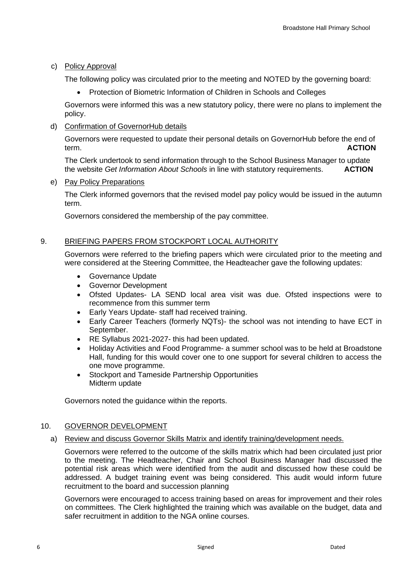# c) Policy Approval

The following policy was circulated prior to the meeting and NOTED by the governing board:

• Protection of Biometric Information of Children in Schools and Colleges

Governors were informed this was a new statutory policy, there were no plans to implement the policy.

## d) Confirmation of GovernorHub details

Governors were requested to update their personal details on GovernorHub before the end of term. **ACTION**

The Clerk undertook to send information through to the School Business Manager to update the website *Get Information About Schools* in line with statutory requirements. **ACTION**

## e) Pay Policy Preparations

The Clerk informed governors that the revised model pay policy would be issued in the autumn term.

Governors considered the membership of the pay committee.

# 9. BRIEFING PAPERS FROM STOCKPORT LOCAL AUTHORITY

Governors were referred to the briefing papers which were circulated prior to the meeting and were considered at the Steering Committee, the Headteacher gave the following updates:

- Governance Update
- Governor Development
- Ofsted Updates- LA SEND local area visit was due. Ofsted inspections were to recommence from this summer term
- Early Years Update- staff had received training.
- Early Career Teachers (formerly NQTs)- the school was not intending to have ECT in September.
- RE Syllabus 2021-2027- this had been updated.
- Holiday Activities and Food Programme- a summer school was to be held at Broadstone Hall, funding for this would cover one to one support for several children to access the one move programme.
- Stockport and Tameside Partnership Opportunities Midterm update

Governors noted the guidance within the reports.

#### 10. GOVERNOR DEVELOPMENT

#### a) Review and discuss Governor Skills Matrix and identify training/development needs.

Governors were referred to the outcome of the skills matrix which had been circulated just prior to the meeting. The Headteacher, Chair and School Business Manager had discussed the potential risk areas which were identified from the audit and discussed how these could be addressed. A budget training event was being considered. This audit would inform future recruitment to the board and succession planning

Governors were encouraged to access training based on areas for improvement and their roles on committees. The Clerk highlighted the training which was available on the budget, data and safer recruitment in addition to the NGA online courses.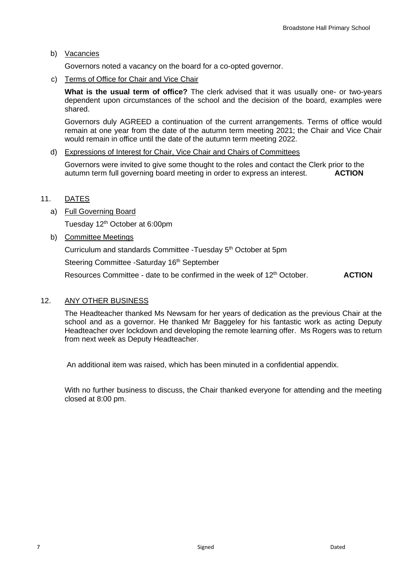b) Vacancies

Governors noted a vacancy on the board for a co-opted governor.

c) Terms of Office for Chair and Vice Chair

**What is the usual term of office?** The clerk advised that it was usually one- or two-years dependent upon circumstances of the school and the decision of the board, examples were shared.

Governors duly AGREED a continuation of the current arrangements. Terms of office would remain at one year from the date of the autumn term meeting 2021; the Chair and Vice Chair would remain in office until the date of the autumn term meeting 2022.

## d) Expressions of Interest for Chair, Vice Chair and Chairs of Committees

Governors were invited to give some thought to the roles and contact the Clerk prior to the autumn term full governing board meeting in order to express an interest. **ACTION**

# 11. DATES

a) Full Governing Board

Tuesday 12<sup>th</sup> October at 6:00pm

b) Committee Meetings

Curriculum and standards Committee -Tuesday 5<sup>th</sup> October at 5pm

Steering Committee -Saturday 16<sup>th</sup> September

Resources Committee - date to be confirmed in the week of 12<sup>th</sup> October. **ACTION** 

# 12. ANY OTHER BUSINESS

The Headteacher thanked Ms Newsam for her years of dedication as the previous Chair at the school and as a governor. He thanked Mr Baggeley for his fantastic work as acting Deputy Headteacher over lockdown and developing the remote learning offer. Ms Rogers was to return from next week as Deputy Headteacher.

An additional item was raised, which has been minuted in a confidential appendix.

With no further business to discuss, the Chair thanked everyone for attending and the meeting closed at 8:00 pm.